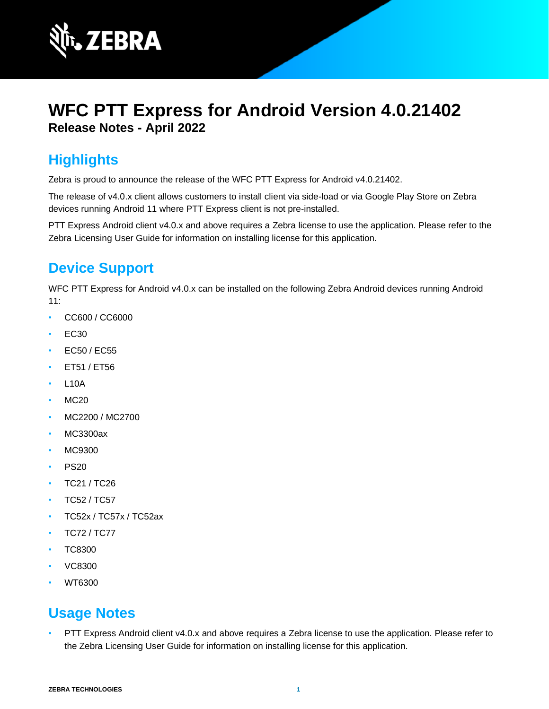

# **WFC PTT Express for Android Version 4.0.21402 Release Notes - April 2022**

# **Highlights**

Zebra is proud to announce the release of the WFC PTT Express for Android v4.0.21402.

The release of v4.0.x client allows customers to install client via side-load or via Google Play Store on Zebra devices running Android 11 where PTT Express client is not pre-installed.

PTT Express Android client v4.0.x and above requires a Zebra license to use the application. Please refer to the Zebra Licensing User Guide for information on installing license for this application.

# **Device Support**

WFC PTT Express for Android v4.0.x can be installed on the following Zebra Android devices running Android 11:

- CC600 / CC6000
- EC30
- EC50 / EC55
- ET51 / ET56
- **L10A**
- MC20
- MC2200 / MC2700
- MC3300ax
- MC9300
- PS20
- TC21 / TC26
- TC52 / TC57
- TC52x / TC57x / TC52ax
- TC72 / TC77
- TC8300
- VC8300
- WT6300

### **Usage Notes**

• PTT Express Android client v4.0.x and above requires a Zebra license to use the application. Please refer to the Zebra Licensing User Guide for information on installing license for this application.